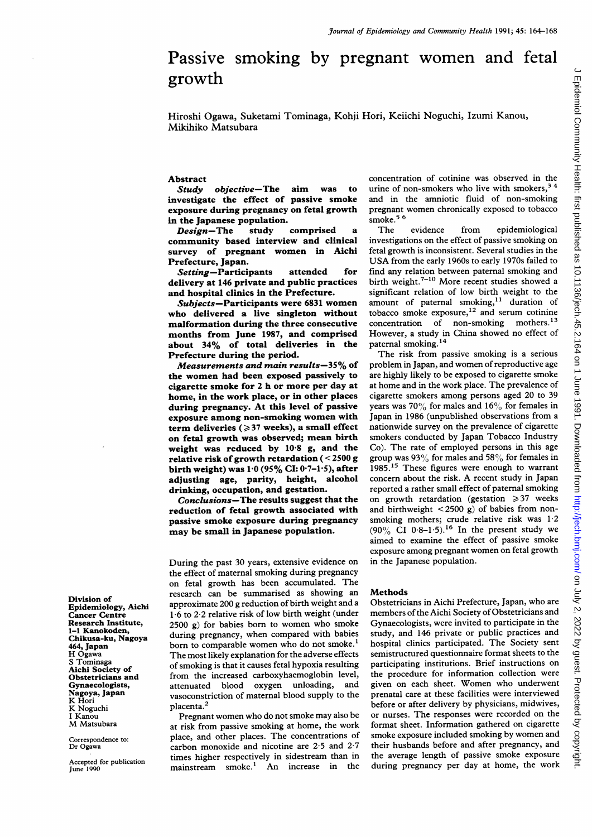# Passive smoking by pregnant women and fetal growth

Hiroshi Ogawa, Suketami Tominaga, Kohji Hori, Keiichi Noguchi, Izumi Kanou, Mikihiko Matsubara

# Abstract<br>Study

objective-The aim was to investigate the effect of passive smoke exposure during pregnancy on fetal growth in the Japanese population.

Design-The study comprised a community based interview and clinical survey of pregnant women in Aichi Prefecture, Japan.

Setting-Participants attended for delivery at 146 private and public practices and hospital clinics in the Prefecture.

Subjects-Participants were <sup>6831</sup> women who delivered a live singleton without malformation during the three consecutive months from June 1987, and comprised about 34% of total deliveries in the Prefecture during the period.

Measurements and main results-35% of the women had been exposed passively to cigarette smoke for <sup>2</sup> h or more per day at home, in the work place, or in other places during pregnancy. At this level of passive exposure among non-smoking women with term deliveries ( $\geq$ 37 weeks), a small effect on fetal growth was observed; mean birth weight was reduced by 10-8 g, and the relative risk of growth retardation ( < 2500 g birth weight) was  $1.0$  (95% CI:  $0.7-1.5$ ), after adjusting age, parity, height, alcohol drinking, occupation, and gestation.

Conclusions-The results suggest that the reduction of fetal growth associated with passive smoke exposure during pregnancy may be small in Japanese population.

During the past 30 years, extensive evidence on the effect of maternal smoking during pregnancy on fetal growth has been accumulated. The research can be summarised as showing an approximate 200 g reduction of birth weight and <sup>a</sup> <sup>1</sup> 6 to 2-2 relative risk of low birth weight (under 2500 g) for babies born to women who smoke during pregnancy, when compared with babies born to comparable women who do not smoke.<sup>1</sup> The most likely explanation for the adverse effects of smoking is that it causes fetal hypoxia resulting from the increased carboxyhaemoglobin level, attenuated blood oxygen unloading, and vasoconstriction of maternal blood supply to the placenta.2

Pregnant women who do not smoke may also be at risk from passive smoking at home, the work place, and other places. The concentrations of carbon monoxide and nicotine are  $2.5$  and  $2.7$ times higher respectively in sidestream than in mainstream smoke.<sup>1</sup> An increase in the

concentration of cotinine was observed in the urine of non-smokers who live with smokers,<sup>34</sup> and in the amniotic fluid of non-smoking pregnant women chronically exposed to tobacco smoke.<sup>5 6</sup>

The evidence from epidemiological investigations on the effect of passive smoking on fetal growth is inconsistent. Several studies in the USA from the early 1960s to early 1970s failed to find any relation between paternal smoking and birth weight.<sup>7-10</sup> More recent studies showed a significant relation of low birth weight to the amount of paternal smoking, $11$  duration of tobacco smoke exposure,<sup>12</sup> and serum cotinine concentration of non-smoking mothers.<sup>13</sup> However, a study in China showed no effect of paternal smoking.<sup>14</sup>

The risk from passive smoking is <sup>a</sup> serious problem in Japan, and women of reproductive age are highly likely to be exposed to cigarette smoke at home and in the work place. The prevalence of cigarette smokers among persons aged 20 to 39 years was 70% for males and 16% for females in Japan in 1986 (unpublished observations from <sup>a</sup> nationwide survey on the prevalence of cigarette smokers conducted by Japan Tobacco Industry Co). The rate of employed persons in this age group was  $93\%$  for males and  $58\%$  for females in 1985.<sup>15</sup> These figures were enough to warrant concern about the risk. A recent study in Japan reported a rather small effect of paternal smoking on growth retardation (gestation  $\geq 37$  weeks and birthweight <2500 g) of babies from nonsmoking mothers; crude relative risk was <sup>1</sup> 2  $(90\% \text{ CI } 0.8-1.5).^{16}$  In the present study we aimed to examine the effect of passive smoke exposure among pregnant women on fetal growth in the Japanese population.

## Methods

Obstetricians in Aichi Prefecture, Japan, who are members of the Aichi Society of Obstetricians and Gynaecologists, were invited to participate in the study, and 146 private or public practices and hospital clinics participated. The Society sent semistructured questionnaire format sheets to the participating institutions. Brief instructions on the procedure for information collection were given on each sheet. Women who underwent prenatal care at these facilities were interviewed before or after delivery by physicians, midwives, or nurses. The responses were recorded on the format sheet. Information gathered on cigarette smoke exposure included smoking by women and their husbands before and after pregnancy, and the average length of passive smoke exposure during pregnancy per day at home, the work

Division of Epidemiology, Aichi Cancer Centre Research Institute, 1-1 Kanokoden, Chikusa-ku, Nagoya 464, Japan H Ogawa S Tominaga Aichi Society of Obstetricians and Gynaecologists, Nagoya, Japan K Hori K Noguchi <sup>I</sup> Kanou M Matsubara

Correspondence to: Dr Ogawa

Accepted for publication June 1990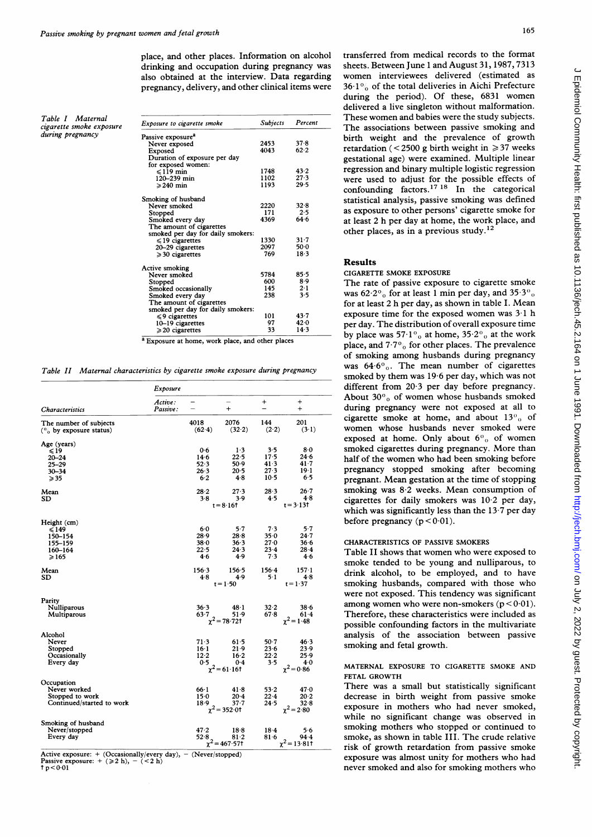Table I Maternal cigarette smoke exposure during pregnancy

place, and other places. Information on alcohol drinking and occupation during pregnancy was also obtained at the interview. Data regarding pregnancy, delivery, and other clinical items were

| Exposure to cigarette smoke       | <b>Subjects</b> | Percent  |
|-----------------------------------|-----------------|----------|
| Passive exposure <sup>a</sup>     |                 |          |
| Never exposed                     | 2453            | 37.8     |
| Exposed                           | 4043            | 62.2     |
| Duration of exposure per day      |                 |          |
| for exposed women:                |                 |          |
| $\leqslant$ 119 min               | 1748            | 43.2     |
| 120-239 min                       | 1102            | 27.3     |
| $\geqslant$ 240 min               | 1193            | 29.5     |
| Smoking of husband                |                 |          |
| Never smoked                      | 2220            | 32.8     |
| Stopped                           | 171             | 2.5      |
| Smoked every day                  | 4369            | 64 6     |
| The amount of cigarettes          |                 |          |
| smoked per day for daily smokers: |                 |          |
| $\leq 19$ cigarettes              | 1330            | $31 - 7$ |
| 20-29 cigarettes                  | 2097            | 50.0     |
| $\geqslant$ 30 cigarettes         | 769             | $18-3$   |
| Active smoking                    |                 |          |
| Never smoked                      | 5784            | 85.5     |
| Stopped                           | 600             | 8.9      |
| Smoked occasionally               | 145             | 2.1      |
| Smoked every day                  | 238             | 3.5      |
| The amount of cigarettes          |                 |          |
| smoked per day for daily smokers: |                 |          |
| $\leq 9$ cigarettes               | 101             | $43 - 7$ |
| 10-19 cigarettes                  | 97              | 42.0     |
| $\geqslant$ 20 cigarettes         | 33              | $14-3$   |

<sup>a</sup> Exposure at home, work place, and other places

Table II Maternal characteristics by cigarette smoke exposure during pregnancy

|                                                                 | Exposure            |                          |                            |                                       |                                |  |  |
|-----------------------------------------------------------------|---------------------|--------------------------|----------------------------|---------------------------------------|--------------------------------|--|--|
| <i><b>Characteristics</b></i>                                   | Active:<br>Passive: | $\overline{\phantom{0}}$ | $+$                        | $\ddot{}$<br>$\overline{\phantom{0}}$ | $\ddot{}$<br>$+$               |  |  |
| The number of subjects<br>$(^{\circ}{}_{0}$ by exposure status) |                     | 4018<br>(62.4)           | 2076<br>(32.2)             | 144<br>(2.2)                          | 201<br>(3.1)                   |  |  |
| Age (years)                                                     |                     |                          |                            |                                       |                                |  |  |
| $\leqslant$ 19                                                  |                     | 0.6                      | 1.3                        | 3.5                                   | 8.0                            |  |  |
| 20–24                                                           |                     | 14.6                     | 22.5                       | 17.5<br>413                           | $24-6$<br>41.7                 |  |  |
| $25 - 29$                                                       |                     | 52.3<br>26.3             | 50.9<br>20.5               | 27.3                                  | $19-1$                         |  |  |
| $30 - 34$<br>$\geqslant$ 35                                     |                     | 6.2                      | 4.8                        | $10-5$                                | 6.5                            |  |  |
|                                                                 |                     |                          |                            |                                       |                                |  |  |
| Mean                                                            |                     | $28 - 2$                 | 27.3                       | 28.3                                  | $26 - 7$                       |  |  |
| SD                                                              |                     | $3 - 8$                  | 3.9                        | 4.5                                   | 48                             |  |  |
|                                                                 |                     |                          | $t = 8.16$                 | $t = 3.131$                           |                                |  |  |
|                                                                 |                     |                          |                            |                                       |                                |  |  |
| Height (cm)                                                     |                     |                          |                            |                                       |                                |  |  |
| ≤149                                                            |                     | 6.0<br>28.9              | $5-7$<br>$28 - 8$          | 7.3<br>35.0                           | 5.7<br>247                     |  |  |
| 150-154                                                         |                     | 38.0                     | 36.3                       | 27.0                                  | 36.6                           |  |  |
| 155–159                                                         |                     | 22.5                     | 24.3                       | $23 - 4$                              | $28 - 4$                       |  |  |
| 160-164<br>$\geqslant$ 165                                      |                     | 4.6                      | 4.9                        | 7.3                                   | 4.6                            |  |  |
|                                                                 |                     |                          |                            |                                       |                                |  |  |
| Mean                                                            |                     | 156.3                    | 156.5                      | $156 - 4$                             | $157-1$                        |  |  |
| SD                                                              |                     | 4.8                      | 49                         | $5-1$                                 | 4.8                            |  |  |
|                                                                 |                     | $t = 1.50$               |                            | $t = 1.37$                            |                                |  |  |
| Parity                                                          |                     |                          |                            |                                       |                                |  |  |
| Nulliparous                                                     |                     | 36.3                     | $48-1$                     | 32.2                                  | 38.6                           |  |  |
| Multiparous                                                     |                     | 63.7                     | $51-9$                     | 678                                   | $61-4$                         |  |  |
|                                                                 |                     |                          | $\chi^2$ = 78.721          |                                       | $\gamma^2 = 1.48$              |  |  |
|                                                                 |                     |                          |                            |                                       |                                |  |  |
| Alcohol                                                         |                     |                          |                            |                                       |                                |  |  |
| Never                                                           |                     | 71.3                     | 61.5                       | $50 - 7$                              | 46.3                           |  |  |
| Stopped                                                         |                     | $16-1$                   | 21.9                       | $23 - 6$                              | 23.9                           |  |  |
| Occasionally                                                    |                     | 12.2                     | $16-2$                     | 22.2                                  | 25.9                           |  |  |
| Every day                                                       |                     | 0.5                      | 0.4<br>$\chi^2$ = 61.161   | 3.5                                   | 4.0<br>$\gamma^2 = 0.86$       |  |  |
|                                                                 |                     |                          |                            |                                       |                                |  |  |
| Occupation                                                      |                     |                          |                            |                                       |                                |  |  |
| Never worked                                                    |                     | 66 1                     | 418                        | $53 - 2$                              | 47.0                           |  |  |
| Stopped to work                                                 |                     | 15.0                     | $20-4$                     | 22.4<br>24.5                          | 20.2                           |  |  |
| Continued/started to work                                       |                     | 18.9                     | 37.7<br>$\chi^2$ = 352.01  |                                       | 32.8<br>$\gamma^2 = 2.80$      |  |  |
|                                                                 |                     |                          |                            |                                       |                                |  |  |
| Smoking of husband                                              |                     |                          |                            |                                       |                                |  |  |
| Never/stopped                                                   |                     | 47.2                     | 18.8                       | 18.4                                  | 5.6                            |  |  |
| Every day                                                       |                     | 52.8                     | 81.2<br>$\chi^2$ = 467.571 |                                       | $\frac{81.6}{\chi^2} = 13.811$ |  |  |
|                                                                 |                     |                          |                            |                                       |                                |  |  |

Active exposure: + (Occasionally/every day), − (Never/stopped)<br>Passive exposure: + (≥2 h), − (<2 h)<br>† p < 0·01

transferred from medical records to the format sheets. Between June <sup>1</sup> and August 31, 1987, 7313 women interviewees delivered (estimated as  $36.1\%$  of the total deliveries in Aichi Prefecture during the period). Of these, 6831 women delivered a live singleton without malformation. These women and babies were the study subjects. The associations between passive smoking and birth weight and the prevalence of growth retardation (  $<$  2500 g birth weight in  $\geq$  37 weeks gestational age) were examined. Multiple linear regression and binary multiple logistic regression were used to adjust for the possible effects of confounding factors.17 <sup>18</sup> In the categorical statistical analysis, passive smoking was defined as exposure to other persons' cigarette smoke for at least 2 h per day at home, the work place, and other places, as in a previous study.<sup>12</sup>

# Results

### CIGARETTE SMOKE EXPOSURE

The rate of passive exposure to cigarette smoke was  $62.2\%$  for at least 1 min per day, and  $35.3\%$ for at least 2 h per day, as shown in table I. Mean exposure time for the exposed women was <sup>3</sup> <sup>1</sup> h per day. The distribution of overall exposure time by place was  $57 \cdot 1\frac{6}{10}$  at home,  $35 \cdot 2\frac{6}{10}$  at the work place, and  $7.7\%$  for other places. The prevalence of smoking among husbands during pregnancy was  $64.6^\circ$ . The mean number of cigarettes smoked by them was 19-6 per day, which was not different from 20.3 per day before pregnancy. About  $30\%$  of women whose husbands smoked during pregnancy were not exposed at all to cigarette smoke at home, and about  $13<sup>0</sup>$  of women whose husbands never smoked were exposed at home. Only about  $6^\circ$  of women smoked cigarettes during pregnancy. More than half of the women who had been smoking before pregnancy stopped smoking after becoming pregnant. Mean gestation at the time of stopping smoking was 8-2 weeks. Mean consumption of cigarettes for daily smokers was  $10.2$  per day, which was significantly less than the  $13.7$  per day before pregnancy  $(p < 0.01)$ .

## CHARACTERISTICS OF PASSIVE SMOKERS

Table II shows that women who were exposed to smoke tended to be young and nulliparous, to drink alcohol, to be employed, and to have smoking husbands, compared with those who were not exposed. This tendency was significant among women who were non-smokers  $(p < 0.01)$ . Therefore, these characteristics were included as possible confounding factors in the multivariate analysis of the association between passive smoking and fetal growth.

### MATERNAL EXPOSURE TO CIGARETTE SMOKE AND FETAL GROWTH

There was a small but statistically significant decrease in birth weight from passive smoke exposure in mothers who had never smoked, while no significant change was observed in smoking mothers who stopped or continued to smoke, as shown in table III. The crude relative risk of growth retardation from passive smoke exposure was almost unity for mothers who had never smoked and also for smoking mothers who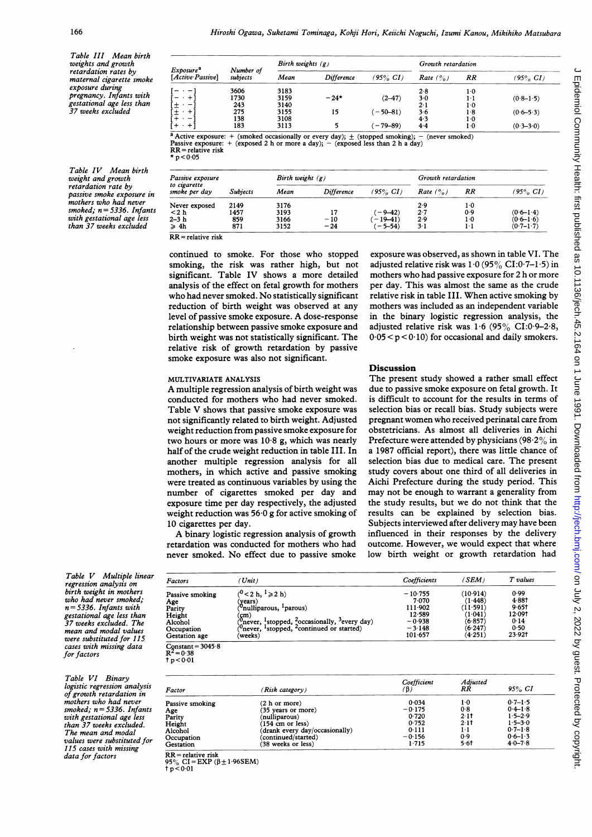Table III Mean birth weights and growth retardation rates by maternal cigarette smoke exposure during pregnancy. Infants with gestational age less than 37 weeks excluded

Table IV Mean birth weight and growth retardation rate by passive smoke exposure in mothers who had never smoked;  $n = 5336$ . Infants with gestational age less than 37 weeks excluded

| Exposure <sup>a</sup><br>[Active Passive] | Number of<br>subiects | Birth weights $(g)$ |            |               | Growth retardation   |       |               |
|-------------------------------------------|-----------------------|---------------------|------------|---------------|----------------------|-------|---------------|
|                                           |                       | Mean                | Difference | $(95\% \ CI)$ | Rate $(\frac{6}{6})$ | RR    | (95% CI)      |
|                                           | 3606                  | 3183                |            |               | 2.8                  | $1-0$ |               |
|                                           | 1730                  | 3159                | $-24*$     | $(2 - 47)$    | 3.0                  | $1-1$ | $(0.8 - 1.5)$ |
|                                           | 243                   | 3140                |            |               | $2 - 1$              | 1·0   |               |
| $\div$                                    | 275                   | 3155                | 15         | $-50 - 81$    | 3.6                  | $1-8$ | $(0.6 - 5.3)$ |
|                                           | 138                   | 3108                |            |               | 4.3                  | 1·0   |               |
|                                           | 183                   | 3113                | 5          | $-79 - 89$    | 4.4                  | 1.0   | $(0.3 - 3.0)$ |

RR = relative risk  $* p < 0.05$ 

| Passive exposure<br>to cigarette<br>smoke per dav |                 | Birth weight $(g)$ |            |               | Growth retardation |            |               |
|---------------------------------------------------|-----------------|--------------------|------------|---------------|--------------------|------------|---------------|
|                                                   | <b>Subjects</b> | Mean               | Difference | $(95\% \ CI)$ | Rate $(% )$        | RR.        | (95% CI)      |
| Never exposed                                     | 2149            | 3176               |            |               | 2.9                | $1-0$      |               |
| < 2 h                                             | 1457            | 3193               | 17         | $-9 - 42$     | 2.7                | 0.9        | $(0.6 - 1.4)$ |
| $2 - 3 h$                                         | 859             | 3166               | $-10$      | $-19 - 41$    | 2.9                | $1-0$      | $(0.6 - 1.6)$ |
| $\geqslant 4h$                                    | 871             | 3152               | $-24$      | $-5 - 54$     | $3-1$              | $1\cdot 1$ | $(0.7 - 1.7)$ |
| $RR = relative risk$                              |                 |                    |            |               |                    |            |               |

RR = relative risk

smoking, the risk was rather high, but not adjusted relative risk was  $1.0$  (95% CI:0.7-1.5) in significant. Table IV shows <sup>a</sup> more detailed mothers who had passive exposure for 2 h or more analysis of the effect on fetal growth for mothers per day. This was almost the same as the crude who had never smoked. No statistically significant relative risk in table III. When active smoking by reduction of birth weight was observed at any mothers was included as an independent variable level of passive smoke exposure. A dose-response in the binary logistic regression analysis, the relationship between passive smoke exposure and adjusted relative risk was  $1.6$  (95% CI:0 9-2.8, birth weight was not statistically significant. The  $0.05 < p < 0.10$  for occasional and daily smokers. relative risk of growth retardation by passive smoke exposure was also not significant.

continued to smoke. For those who stopped exposure was observed, as shown in table VI. The

Table V shows that passive smoke exposure was selection bias or recall bias. Study subjects were not significantly related to birth weight. Adjusted pregnant women who received perinatal care from not significantly related to birth weight. Adjusted pregnant women who received perinatal care from weight reduction from passive smoke exposure for obstetricians. As almost all deliveries in Aichi weight reduction from passive smoke exposure for obstetricians. As almost all deliveries in Aichi two hours or more was  $10.8$  g, which was nearly Prefecture were attended by physicians (98.2% in two hours or more was 10.8 g, which was nearly half of the crude weight reduction in table III. In a 1987 official report), there was little chance of another multiple regression analysis for all selection bias due to medical care. The present another multiple regression analysis for all mothers, in which active and passive smoking study covers about one third of all deliveries in were treated as continuous variables by using the Aichi Prefecture during the study period. This number of cigarettes smoked per day and may not be enough to warrant <sup>a</sup> generality from exposure time per day respectively, the adjusted the study results, but we do not think that the weight reduction was 56.0 g for active smoking of results can be explained by selection bias.

A binary logistic regression analysis of growth retardation was conducted for mothers who had outcome. However, we would expect that where never smoked. No effect due to passive smoke low birth weight or growth retardation had

**Discussion** MULTIVARIATE ANALYSIS The present study showed <sup>a</sup> rather small effect A multiple regression analysis of birth weight was due to passive smoke exposure on fetal growth. It conducted for mothers who had never smoked. is difficult to account for the results in terms of is difficult to account for the results in terms of 10 cigarettes per day.<br>A binary logistic regression analysis of growth influenced in their responses by the delivery

| Table V Multiple linear   |
|---------------------------|
| regression analysis on    |
| birth weight in mothers   |
| who had never smoked;     |
| $n = 5336$ . Infants with |
| gestational age less than |
| 37 weeks excluded. The    |
| mean and modal values     |
| were substituted for 115  |
| cases with missing data   |
| for factors               |

Table VI Binary logistic regression analysis of growth retardation in mothers who had never smoked:  $n = 5336$ . Infants with gestational age less than 37 weeks excluded. The mean and modal values were substituted for 115 cases with missing data for factors

| Factors                                                                              | (Unit)                                                                                                                                                                                                                                                           | Coefficients                                                                   | (SEM)                                                                       | T values                                                         |
|--------------------------------------------------------------------------------------|------------------------------------------------------------------------------------------------------------------------------------------------------------------------------------------------------------------------------------------------------------------|--------------------------------------------------------------------------------|-----------------------------------------------------------------------------|------------------------------------------------------------------|
| Passive smoking<br>Age<br>Parity<br>Height<br>Alcohol<br>Occupation<br>Gestation age | $(^0<2 h, ^1\geq 2 h)$<br>vears)<br><sup>'U</sup> nulliparous, 'parous)<br>(cm)<br><sup>1</sup> stopped, <sup>2</sup> occasionally, <sup>3</sup> every day)<br>never,<br><sup>0</sup> never, <sup>1</sup> stopped, <sup>2</sup> continued or started)<br>(weeks) | $-10.755$<br>7.070<br>111.902<br>$12 - 589$<br>$-0.938$<br>$-3.148$<br>101.657 | (10.914)<br>(1-448)<br>(11-591)<br>(1.041)<br>(6.857)<br>(6.247)<br>(4.251) | 0.99<br>4.881<br>9.651<br>$12.09$ t<br>0.14<br>0.50<br>$23.92$ t |
| Constant = $3045.8$<br>$R^2 = 0.38$<br>tp < 0.01                                     |                                                                                                                                                                                                                                                                  |                                                                                |                                                                             |                                                                  |

 $Coefficient$  *Adjusted*<br>(β) *RR* Factor (Risk category) (B)  $RR$  95% CI Passive smoking Age Parity Height Alcohol **Occupation Gestation**  $\overline{RR}$  = relative risk (2 h or more) (35 years or more) (nulliparous)  $(154 \text{ cm or less})$ (drank every day/occasionally) (continued/started)  $(38$  weeks or less)  $0.034$ -0 175 0-720 0 752 0 111 -0 156 <sup>1</sup> 715  $\begin{array}{llll} 1\cdot 0 & \quad & 0 \cdot 7\! -\! 1 \cdot 5 & \quad & 0 \cdot 4\! -\! 1 \cdot 8 & \quad & 1 \cdot 5\! -\! 2 \cdot 9 & \quad & 1 \cdot 5\! -\! 3 \cdot 0 & \quad & 1 \cdot 1 & \quad & 0 \cdot 7\! -\! 1 \cdot 8 & \end{array}$  $0.9$ <br>  $0.9$ <br>  $0.6-1.3$ <br>  $0.6-1.3$ <br>  $0.6-1.3$  $4.0 - 7.8$ 

95% CI = EXP (β ± 1·96SEM)<br>t p < 0·01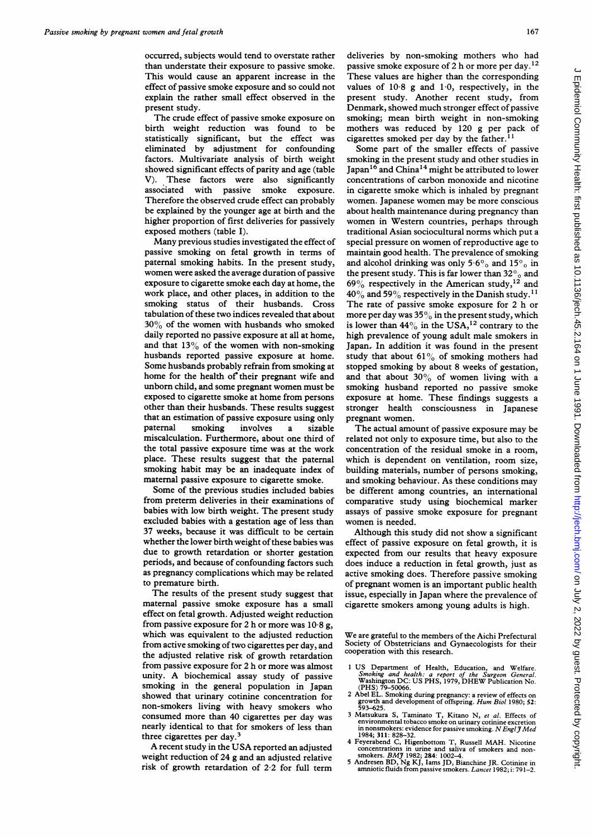occurred, subjects would tend to overstate rather than understate their exposure to passive smoke. This would cause an apparent increase in the effect of passive smoke exposure and so could not explain the rather small effect observed in the present study.

The crude effect of passive smoke exposure on birth weight reduction was found to be statistically significant, but the effect was eliminated by adjustment for confounding factors. Multivariate analysis of birth weight showed significant effects of parity and age (table V). These factors were also significantly associated with passive smoke exposure. Therefore the observed crude effect can probably be explained by the younger age at birth and the higher proportion of first deliveries for passively exposed mothers (table I).

Many previous studies investigated the effect of passive smoking on fetal growth in terms of paternal smoking habits. In the present study, women were asked the average duration of passive exposure to cigarette smoke each day at home, the work place, and other places, in addition to the smoking status of their husbands. Cross tabulation of these two indices revealed that about 30% of the women with husbands who smoked daily reported no passive exposure at all at home, and that  $13\%$  of the women with non-smoking husbands reported passive exposure at home. Some husbands probably refrain from smoking at home for the health of their pregnant wife and unborn child, and some pregnant women must be exposed to cigarette smoke at home from persons other than their husbands. These results suggest that an estimation of passive exposure using only<br>paternal smoking involves a sizable smoking involves a sizable miscalculation. Furthermore, about one third of the total passive exposure time was at the work place. These results suggest that the paternal smoking habit may be an inadequate index of maternal passive exposure to cigarette smoke.

Some of the previous studies included babies from preterm deliveries in their examinations of babies with low birth weight. The present study excluded babies with a gestation age of less than 37 weeks, because it was difficult to be certain whether the lower birth weight of these babies was due to growth retardation or shorter gestation periods, and because of confounding factors such as pregnancy complications which may be related to premature birth.

The results of the present study suggest that maternal passive smoke exposure has a small effect on fetal growth. Adjusted weight reduction from passive exposure for 2 h or more was  $10.8 g$ , which was equivalent to the adjusted reduction from active smoking of two cigarettes per day, and the adjusted relative risk of growth retardation from passive exposure for 2 h or more was almost unity. A biochemical assay study of passive smoking in the general population in Japan showed that urinary cotinine concentration for non-smokers living with heavy smokers who consumed more than 40 cigarettes per day was nearly identical to that for smokers of less than three cigarettes per day.<sup>3</sup>

A recent study in the USA reported an adjusted weight reduction of 24 g and an adjusted relative risk of growth retardation of 2.2 for full term

deliveries by non-smoking mothers who had passive smoke exposure of 2 h or more per day.<sup>12</sup> These values are higher than the corresponding values of  $10.8$  g and  $1.0$ , respectively, in the present study. Another recent study, from Denmark, showed much stronger effect of passive smoking; mean birth weight in non-smoking mothers was reduced by 120 g per pack of cigarettes smoked per day by the father.<sup>11</sup>

Some part of the smaller effects of passive smoking in the present study and other studies in Japan<sup>16</sup> and China<sup>14</sup> might be attributed to lower concentrations of carbon monoxide and nicotine in cigarette smoke which is inhaled by pregnant women. Japanese women may be more conscious about health maintenance during pregnancy than women in Western countries, perhaps through traditional Asian sociocultural norms which put <sup>a</sup> special pressure on women of reproductive age to maintain good health. The prevalence of smoking and alcohol drinking was only  $5.6\%$  and  $15\%$  in the present study. This is far lower than  $32\%$  and  $69\%$  respectively in the American study,<sup>12</sup> and  $40\%$  and 59% respectively in the Danish study.<sup>11</sup> The rate of passive smoke exposure for <sup>2</sup> h or more per day was  $35\%$  in the present study, which is lower than  $44\%$  in the USA,<sup>12</sup> contrary to the high prevalence of young adult male smokers in Japan, In addition it was found in the present study that about  $61\%$  of smoking mothers had stopped smoking by about 8 weeks of gestation, and that about  $30\%$  of women living with a smoking husband reported no passive smoke exposure at home. These findings suggests a stronger health consciousness in Japanese pregnant women.

The actual amount of passive exposure may be related not only to exposure time, but also to the concentration of the residual smoke in <sup>a</sup> room, which is dependent on ventilation, room size, building materials, number of persons smoking, and smoking behaviour. As these conditions may be different among countries, an international comparative study using biochemical marker assays of passive smoke exposure for pregnant women is needed.

Although this study did not show a significant effect of passive exposure on fetal growth, it is expected from our results that heavy exposure does induce a reduction in fetal growth, just as active smoking does. Therefore passive smoking of pregnant women is an important public health issue, especially in Japan where the prevalence of cigarette smokers among young adults is high.

We are grateful to the members of the Aichi Prefectural Society of Obstetricians and Gynaecologists for their cooperation with this research.

- <sup>1</sup> US Department of Health, Education, and Welfare. Smoking and health: a report of the Surgeon General. Washington DC: US PHS, 1979, DHEW Publication No.
- (PHS) 79–50066.<br>
2 Abel EL. Smoking during pregnancy: a review of effects on<br>
growth and development of offspring. *Hum Biol* 1980; 52:<br>
593–625.
- 3 Matsukura S, Taminato T, Kitano N, et al. Effects of environmental tobacco smoke on urinary cotinine excretion<br>in nonsmokers: evidence for passive smoking. *N Engl J Med*<br>1984; **31**1: 828–32.
- <sup>4</sup> Feyerabend C, Higenbottom T, Russell MAH. Nicotine concentrations in urine and saliva of smokers and non-
- smokers. BMJ 1982; 284: 1002-4. <sup>5</sup> Andresen BD, Ng KJ, Iams JD, Bianchine JR. Cotinine in amniotic fluids from passive smokers. Lancet 1982; i: 791-2